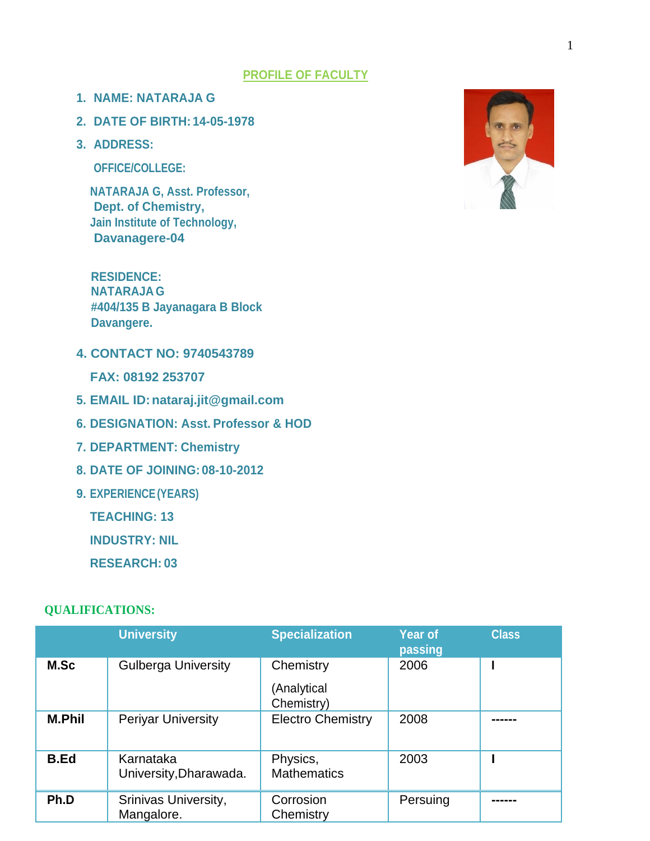#### **PROFILE OF FACULTY**

- **1. NAME: NATARAJA G**
- **2. DATE OF BIRTH: 14-05-1978**
- **3. ADDRESS:**

**OFFICE/COLLEGE:**

**NATARAJA G, Asst. Professor, Dept. of Chemistry, Jain Institute of Technology, Davanagere-04**

**RESIDENCE: NATARAJAG #404/135 B Jayanagara B Block Davangere.**

**4. CONTACT NO: 9740543789**

**FAX: 08192 253707**

- **5. EMAIL ID:nataraj.jit@gmail.com**
- **6. DESIGNATION: Asst. Professor & HOD**
- **7. DEPARTMENT: Chemistry**
- **8. DATE OF JOINING:08-10-2012**
- **9. EXPERIENCE(YEARS)**

**TEACHING: 13**

**INDUSTRY: NIL** 

**RESEARCH: 03**

#### **QUALIFICATIONS:**

|               | <b>University</b>                   | <b>Specialization</b>                  | <b>Year of</b><br>passing | <b>Class</b> |
|---------------|-------------------------------------|----------------------------------------|---------------------------|--------------|
| M.Sc          | <b>Gulberga University</b>          | Chemistry<br>(Analytical<br>Chemistry) | 2006                      |              |
| <b>M.Phil</b> | <b>Periyar University</b>           | <b>Electro Chemistry</b>               | 2008                      |              |
| <b>B.Ed</b>   | Karnataka<br>University, Dharawada. | Physics,<br><b>Mathematics</b>         | 2003                      |              |
| Ph.D          | Srinivas University,<br>Mangalore.  | Corrosion<br>Chemistry                 | Persuing                  |              |

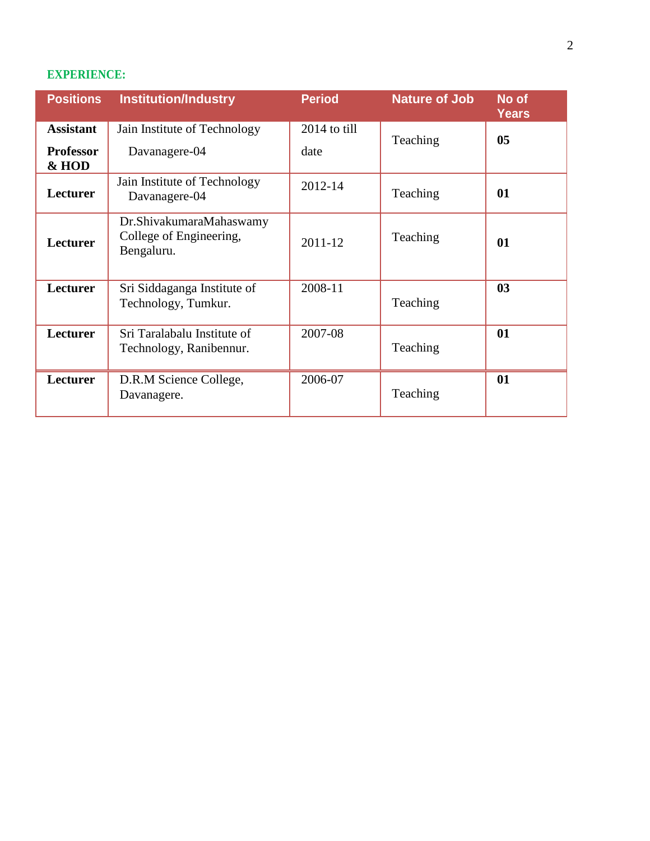# **EXPERIENCE:**

| <b>Positions</b>          | <b>Institution/Industry</b>                                      | <b>Period</b> | <b>Nature of Job</b> | No of<br><b>Years</b> |
|---------------------------|------------------------------------------------------------------|---------------|----------------------|-----------------------|
| <b>Assistant</b>          | Jain Institute of Technology                                     | 2014 to till  | Teaching             | 0 <sub>5</sub>        |
| <b>Professor</b><br>& HOD | Davanagere-04                                                    | date          |                      |                       |
| <b>Lecturer</b>           | Jain Institute of Technology<br>Davanagere-04                    | 2012-14       | Teaching             | 01                    |
| Lecturer                  | Dr.ShivakumaraMahaswamy<br>College of Engineering,<br>Bengaluru. | 2011-12       | Teaching             | 01                    |
| Lecturer                  | Sri Siddaganga Institute of<br>Technology, Tumkur.               | 2008-11       | Teaching             | 03                    |
| Lecturer                  | Sri Taralabalu Institute of<br>Technology, Ranibennur.           | 2007-08       | Teaching             | 01                    |
| Lecturer                  | D.R.M Science College,<br>Davanagere.                            | 2006-07       | Teaching             | 01                    |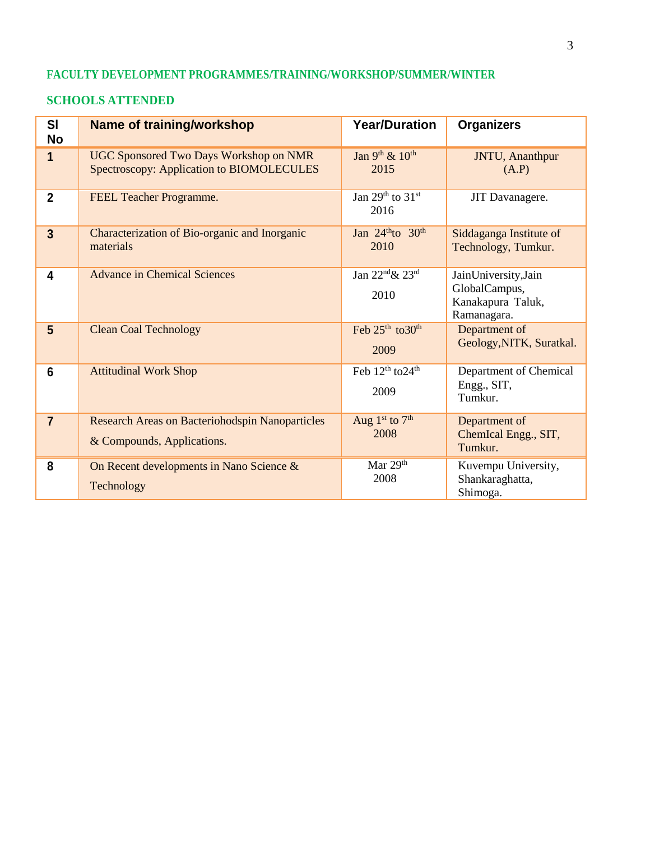## **FACULTY DEVELOPMENT PROGRAMMES/TRAINING/WORKSHOP/SUMMER/WINTER**

#### **SCHOOLS ATTENDED**

| SI<br><b>No</b> | <b>Name of training/workshop</b>                                                           | <b>Year/Duration</b>                             | <b>Organizers</b>                                                         |
|-----------------|--------------------------------------------------------------------------------------------|--------------------------------------------------|---------------------------------------------------------------------------|
| 1               | <b>UGC Sponsored Two Days Workshop on NMR</b><br>Spectroscopy: Application to BIOMOLECULES | Jan 9th & 10th<br>2015                           | JNTU, Ananthpur<br>(A.P)                                                  |
| $\overline{2}$  | FEEL Teacher Programme.                                                                    | Jan 29th to $31st$<br>2016                       | JIT Davanagere.                                                           |
| $\overline{3}$  | Characterization of Bio-organic and Inorganic<br>materials                                 | Jan $24^{\text{th}}$ to $30^{\text{th}}$<br>2010 | Siddaganga Institute of<br>Technology, Tumkur.                            |
| 4               | <b>Advance in Chemical Sciences</b>                                                        | Jan 22nd& 23rd<br>2010                           | JainUniversity, Jain<br>GlobalCampus,<br>Kanakapura Taluk,<br>Ramanagara. |
| $5\phantom{1}$  | <b>Clean Coal Technology</b>                                                               | Feb 25 <sup>th</sup> to 30 <sup>th</sup><br>2009 | Department of<br>Geology, NITK, Suratkal.                                 |
| 6               | <b>Attitudinal Work Shop</b>                                                               | Feb 12 <sup>th</sup> to 24 <sup>th</sup><br>2009 | Department of Chemical<br>Engg., SIT,<br>Tumkur.                          |
| $\overline{7}$  | <b>Research Areas on Bacteriohodspin Nanoparticles</b><br>& Compounds, Applications.       | Aug $1st$ to $7th$<br>2008                       | Department of<br>ChemIcal Engg., SIT,<br>Tumkur.                          |
| 8               | On Recent developments in Nano Science &<br>Technology                                     | Mar 29th<br>2008                                 | Kuvempu University,<br>Shankaraghatta,<br>Shimoga.                        |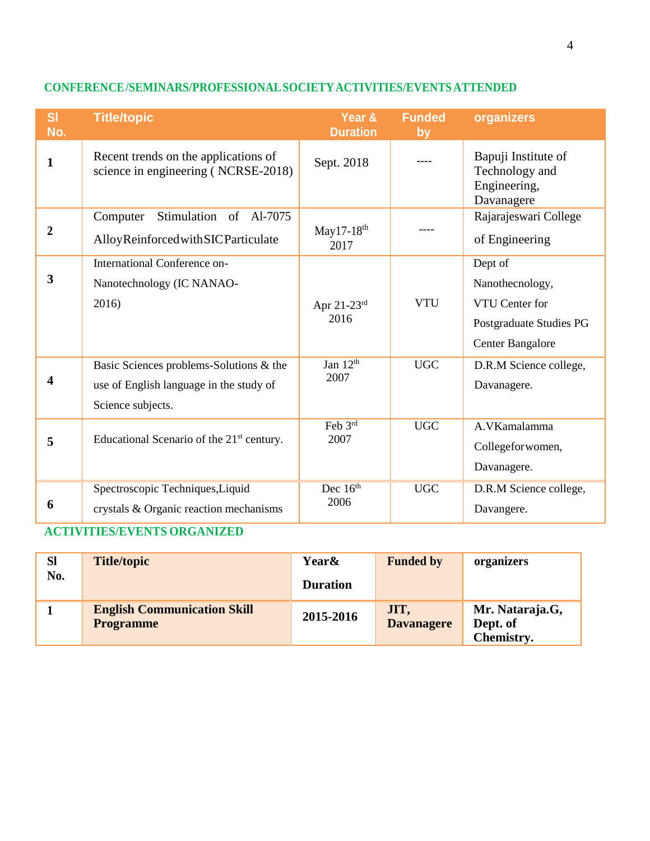| SI<br>No.               | <b>Title/topic</b>                                                                                      | Year &<br><b>Duration</b>         | <b>Funded</b><br>by | organizers                                                                                         |
|-------------------------|---------------------------------------------------------------------------------------------------------|-----------------------------------|---------------------|----------------------------------------------------------------------------------------------------|
| 1                       | Recent trends on the applications of<br>science in engineering (NCRSE-2018)                             | Sept. 2018                        |                     | Bapuji Institute of<br>Technology and<br>Engineering,<br>Davanagere                                |
| $\overline{2}$          | Stimulation of Al-7075<br>Computer<br>AlloyReinforcedwithSICParticulate                                 | May17-18 <sup>th</sup><br>2017    |                     | Rajarajeswari College<br>of Engineering                                                            |
| $\overline{\mathbf{3}}$ | International Conference on-<br>Nanotechnology (IC NANAO-<br>2016)                                      | Apr $21-23$ <sup>rd</sup><br>2016 | <b>VTU</b>          | Dept of<br>Nanothecnology,<br>VTU Center for<br>Postgraduate Studies PG<br><b>Center Bangalore</b> |
| 4                       | Basic Sciences problems-Solutions & the<br>use of English language in the study of<br>Science subjects. | Jan 12 <sup>th</sup><br>2007      | <b>UGC</b>          | D.R.M Science college,<br>Davanagere.                                                              |
| 5                       | Educational Scenario of the 21 <sup>st</sup> century.                                                   | Feb 3rd<br>2007                   | <b>UGC</b>          | A.VKamalamma<br>Collegefor women,<br>Davanagere.                                                   |
| 6                       | Spectroscopic Techniques, Liquid<br>crystals & Organic reaction mechanisms                              | Dec $16th$<br>2006                | <b>UGC</b>          | D.R.M Science college,<br>Davangere.                                                               |

# **CONFERENCE/SEMINARS/PROFESSIONALSOCIETYACTIVITIES/EVENTS ATTENDED**

# **ACTIVITIES/EVENTS ORGANIZED**

| <b>Sl</b> | <b>Title/topic</b>                                     | <b>Year&amp;</b> | <b>Funded by</b>          | organizers                                |
|-----------|--------------------------------------------------------|------------------|---------------------------|-------------------------------------------|
| No.       |                                                        | <b>Duration</b>  |                           |                                           |
|           | <b>English Communication Skill</b><br><b>Programme</b> | 2015-2016        | JIT,<br><b>Davanagere</b> | Mr. Nataraja.G,<br>Dept. of<br>Chemistry. |